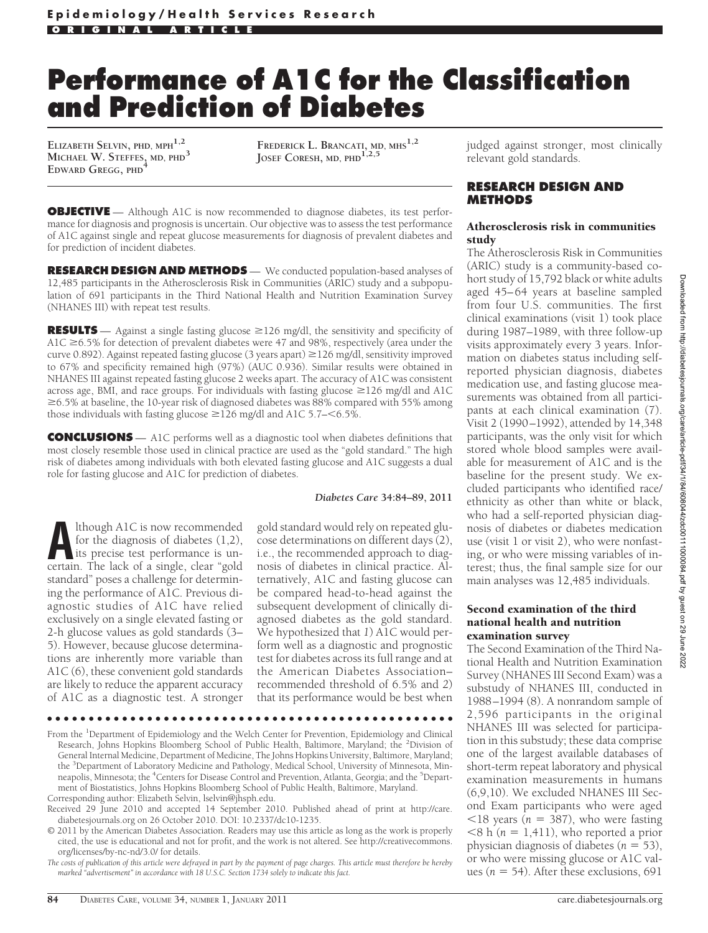# **Performance of A1C for the Classification and Prediction of Diabetes**

**ELIZABETH SELVIN, PHD, MPH1,2 MICHAEL W. STEFFES, MD, PHD<sup>3</sup> EDWARD GREGG, PHD<sup>4</sup>**

**FREDERICK L. BRANCATI, MD, MHS1,2 JOSEF CORESH, MD, PHD1,2,5**

**OBJECTIVE** — Although A1C is now recommended to diagnose diabetes, its test performance for diagnosis and prognosis is uncertain. Our objective was to assess the test performance of A1C against single and repeat glucose measurements for diagnosis of prevalent diabetes and for prediction of incident diabetes.

**RESEARCH DESIGN AND METHODS** — We conducted population-based analyses of 12,485 participants in the Atherosclerosis Risk in Communities (ARIC) study and a subpopulation of 691 participants in the Third National Health and Nutrition Examination Survey (NHANES III) with repeat test results.

**RESULTS** — Against a single fasting glucose  $\geq$ 126 mg/dl, the sensitivity and specificity of A1C  $\geq$  6.5% for detection of prevalent diabetes were 47 and 98%, respectively (area under the curve 0.892). Against repeated fasting glucose (3 years apart) ≥126 mg/dl, sensitivity improved to 67% and specificity remained high (97%) (AUC 0.936). Similar results were obtained in NHANES III against repeated fasting glucose 2 weeks apart. The accuracy of A1C was consistent across age, BMI, and race groups. For individuals with fasting glucose  $\geq$  126 mg/dl and A1C  $\geq 6.5\%$  at baseline, the 10-year risk of diagnosed diabetes was 88% compared with 55% among those individuals with fasting glucose  $\geq$  126 mg/dl and A1C 5.7– $\lt$ 6.5%.

**CONCLUSIONS** — A1C performs well as a diagnostic tool when diabetes definitions that most closely resemble those used in clinical practice are used as the "gold standard." The high risk of diabetes among individuals with both elevated fasting glucose and A1C suggests a dual role for fasting glucose and A1C for prediction of diabetes.

#### *Diabetes Care* **34:84–89, 2011**

**ALTA INTER 18 AND INTERNATIONAL EXECUTER 10 ALTA INTERNATIONAL AREA ISLAM INTERNATIONAL AREA ISLAMATELY TO THE LOCK OF A single clear "gold** for the diagnosis of diabetes (1,2), certain. The lack of a single, clear "gold standard" poses a challenge for determining the performance of A1C. Previous diagnostic studies of A1C have relied exclusively on a single elevated fasting or 2-h glucose values as gold standards (3– 5). However, because glucose determinations are inherently more variable than A1C (6), these convenient gold standards are likely to reduce the apparent accuracy of A1C as a diagnostic test. A stronger

gold standard would rely on repeated glucose determinations on different days (2), i.e., the recommended approach to diagnosis of diabetes in clinical practice. Alternatively, A1C and fasting glucose can be compared head-to-head against the subsequent development of clinically diagnosed diabetes as the gold standard. We hypothesized that *1*) A1C would perform well as a diagnostic and prognostic test for diabetes across its full range and at the American Diabetes Association– recommended threshold of 6.5% and *2*) that its performance would be best when

●●●●●●●●●●●●●●●●●●●●●●●●●●●●●●●●●●●●●●●●●●●●●●●●●

From the <sup>1</sup>Department of Epidemiology and the Welch Center for Prevention, Epidemiology and Clinical Research, Johns Hopkins Bloomberg School of Public Health, Baltimore, Maryland; the <sup>2</sup>Division of General Internal Medicine, Department of Medicine, The Johns Hopkins University, Baltimore, Maryland; the <sup>3</sup>Department of Laboratory Medicine and Pathology, Medical School, University of Minnesota, Minneapolis, Minnesota; the <sup>4</sup>Centers for Disease Control and Prevention, Atlanta, Georgia; and the <sup>5</sup>Department of Biostatistics, Johns Hopkins Bloomberg School of Public Health, Baltimore, Maryland.

Corresponding author: Elizabeth Selvin, lselvin@jhsph.edu.

judged against stronger, most clinically relevant gold standards.

### **RESEARCH DESIGN AND METHODS**

#### Atherosclerosis risk in communities study

The Atherosclerosis Risk in Communities (ARIC) study is a community-based cohort study of 15,792 black or white adults aged 45–64 years at baseline sampled from four U.S. communities. The first clinical examinations (visit 1) took place during 1987–1989, with three follow-up visits approximately every 3 years. Information on diabetes status including selfreported physician diagnosis, diabetes medication use, and fasting glucose measurements was obtained from all participants at each clinical examination (7). Visit 2 (1990–1992), attended by 14,348 participants, was the only visit for which stored whole blood samples were available for measurement of A1C and is the baseline for the present study. We excluded participants who identified race/ ethnicity as other than white or black, who had a self-reported physician diagnosis of diabetes or diabetes medication use (visit 1 or visit 2), who were nonfasting, or who were missing variables of interest; thus, the final sample size for our main analyses was 12,485 individuals.

#### Second examination of the third national health and nutrition examination survey

The Second Examination of the Third National Health and Nutrition Examination Survey (NHANES III Second Exam) was a substudy of NHANES III, conducted in 1988–1994 (8). A nonrandom sample of 2,596 participants in the original NHANES III was selected for participation in this substudy; these data comprise one of the largest available databases of short-term repeat laboratory and physical examination measurements in humans (6,9,10). We excluded NHANES III Second Exam participants who were aged  $\langle 18 \rangle$  years ( $n = 387$ ), who were fasting  $<$ 8 h ( $n = 1,411$ ), who reported a prior physician diagnosis of diabetes  $(n = 53)$ , or who were missing glucose or A1C values ( $n = 54$ ). After these exclusions, 691

Received 29 June 2010 and accepted 14 September 2010. Published ahead of print at http://care. diabetesjournals.org on 26 October 2010. DOI: 10.2337/dc10-1235.

<sup>© 2011</sup> by the American Diabetes Association. Readers may use this article as long as the work is properly cited, the use is educational and not for profit, and the work is not altered. See http://creativecommons. org/licenses/by-nc-nd/3.0/ for details.

*The costs of publication of this article were defrayed in part by the payment of page charges. This article must therefore be hereby marked "advertisement" in accordance with 18 U.S.C. Section 1734 solely to indicate this fact.*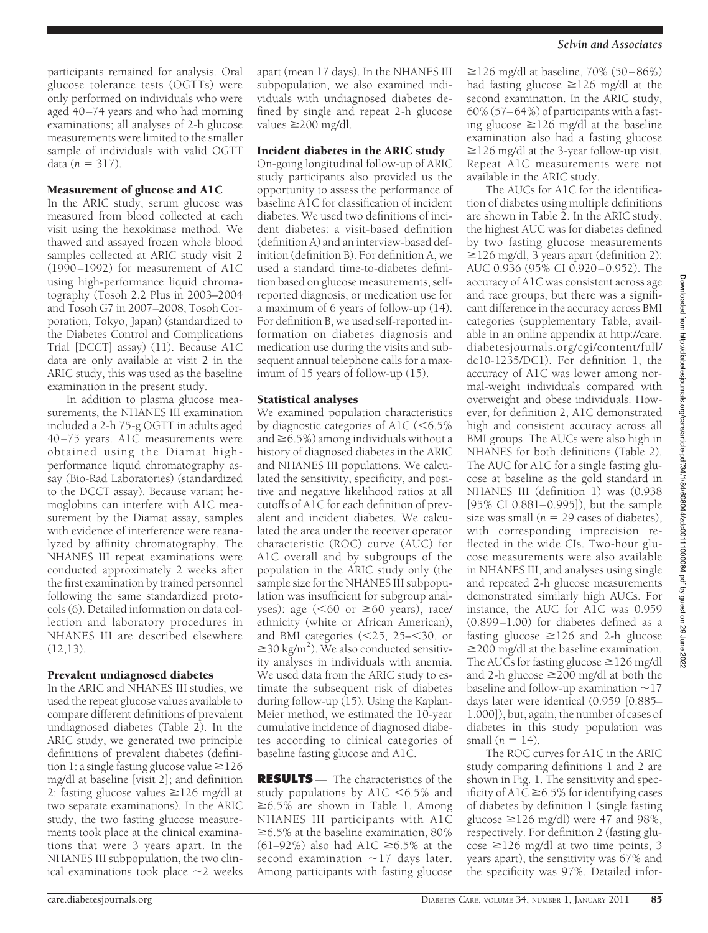participants remained for analysis. Oral glucose tolerance tests (OGTTs) were only performed on individuals who were aged 40–74 years and who had morning examinations; all analyses of 2-h glucose measurements were limited to the smaller sample of individuals with valid OGTT  $data (n = 317).$ 

# Measurement of glucose and A1C

In the ARIC study, serum glucose was measured from blood collected at each visit using the hexokinase method. We thawed and assayed frozen whole blood samples collected at ARIC study visit 2 (1990–1992) for measurement of A1C using high-performance liquid chromatography (Tosoh 2.2 Plus in 2003–2004 and Tosoh G7 in 2007–2008, Tosoh Corporation, Tokyo, Japan) (standardized to the Diabetes Control and Complications Trial [DCCT] assay) (11). Because A1C data are only available at visit 2 in the ARIC study, this was used as the baseline examination in the present study.

In addition to plasma glucose measurements, the NHANES III examination included a 2-h 75-g OGTT in adults aged 40–75 years. A1C measurements were obtained using the Diamat highperformance liquid chromatography assay (Bio-Rad Laboratories) (standardized to the DCCT assay). Because variant hemoglobins can interfere with A1C measurement by the Diamat assay, samples with evidence of interference were reanalyzed by affinity chromatography. The NHANES III repeat examinations were conducted approximately 2 weeks after the first examination by trained personnel following the same standardized protocols (6). Detailed information on data collection and laboratory procedures in NHANES III are described elsewhere  $(12,13)$ .

# Prevalent undiagnosed diabetes

In the ARIC and NHANES III studies, we used the repeat glucose values available to compare different definitions of prevalent undiagnosed diabetes (Table 2). In the ARIC study, we generated two principle definitions of prevalent diabetes (definition 1: a single fasting glucose value  $\geq$  126 mg/dl at baseline [visit 2]; and definition 2: fasting glucose values  $\geq$ 126 mg/dl at two separate examinations). In the ARIC study, the two fasting glucose measurements took place at the clinical examinations that were 3 years apart. In the NHANES III subpopulation, the two clinical examinations took place  $\sim$ 2 weeks apart (mean 17 days). In the NHANES III subpopulation, we also examined individuals with undiagnosed diabetes defined by single and repeat 2-h glucose values  $\geq$  200 mg/dl.

# Incident diabetes in the ARIC study

On-going longitudinal follow-up of ARIC study participants also provided us the opportunity to assess the performance of baseline A1C for classification of incident diabetes. We used two definitions of incident diabetes: a visit-based definition (definition A) and an interview-based definition (definition B). For definition A, we used a standard time-to-diabetes definition based on glucose measurements, selfreported diagnosis, or medication use for a maximum of 6 years of follow-up (14). For definition B, we used self-reported information on diabetes diagnosis and medication use during the visits and subsequent annual telephone calls for a maximum of 15 years of follow-up (15).

## Statistical analyses

We examined population characteristics by diagnostic categories of A1C  $(< 6.5\%$ and  $\geq 6.5\%$ ) among individuals without a history of diagnosed diabetes in the ARIC and NHANES III populations. We calculated the sensitivity, specificity, and positive and negative likelihood ratios at all cutoffs of A1C for each definition of prevalent and incident diabetes. We calculated the area under the receiver operator characteristic (ROC) curve (AUC) for A1C overall and by subgroups of the population in the ARIC study only (the sample size for the NHANES III subpopulation was insufficient for subgroup analyses): age ( $60$  or  $\geq 60$  years), race/ ethnicity (white or African American), and BMI categories  $(<25, 25-<30, or$  $\geq$ 30 kg/m<sup>2</sup>). We also conducted sensitivity analyses in individuals with anemia. We used data from the ARIC study to estimate the subsequent risk of diabetes during follow-up (15). Using the Kaplan-Meier method, we estimated the 10-year cumulative incidence of diagnosed diabetes according to clinical categories of baseline fasting glucose and A1C.

**RESULTS** — The characteristics of the study populations by  $A1C \leq 6.5\%$  and  $\geq 6.5\%$  are shown in Table 1. Among NHANES III participants with A1C  $\geq$  6.5% at the baseline examination, 80%  $(61–92%)$  also had A1C  $\geq 6.5%$  at the second examination  $\sim$ 17 days later. Among participants with fasting glucose

 $≥126$  mg/dl at baseline, 70% (50–86%) had fasting glucose  $\geq$ 126 mg/dl at the second examination. In the ARIC study, 60% (57–64%) of participants with a fasting glucose  $\geq$ 126 mg/dl at the baseline examination also had a fasting glucose  $\geq$ 126 mg/dl at the 3-year follow-up visit. Repeat A1C measurements were not available in the ARIC study.

The AUCs for A1C for the identification of diabetes using multiple definitions are shown in Table 2. In the ARIC study, the highest AUC was for diabetes defined by two fasting glucose measurements  $\geq$ 126 mg/dl, 3 years apart (definition 2): AUC 0.936 (95% CI 0.920–0.952). The accuracy of A1C was consistent across age and race groups, but there was a significant difference in the accuracy across BMI categories (supplementary Table, available in an online appendix at http://care. diabetesjournals.org/cgi/content/full/ dc10-1235/DC1). For definition 1, the accuracy of A1C was lower among normal-weight individuals compared with overweight and obese individuals. However, for definition 2, A1C demonstrated high and consistent accuracy across all BMI groups. The AUCs were also high in NHANES for both definitions (Table 2). The AUC for A1C for a single fasting glucose at baseline as the gold standard in NHANES III (definition 1) was (0.938 [95% CI 0.881–0.995]), but the sample size was small  $(n = 29 \text{ cases of diabetes})$ , with corresponding imprecision reflected in the wide CIs. Two-hour glucose measurements were also available in NHANES III, and analyses using single and repeated 2-h glucose measurements demonstrated similarly high AUCs. For instance, the AUC for A1C was 0.959 (0.899–1.00) for diabetes defined as a fasting glucose  $\geq$ 126 and 2-h glucose  $\geq$ 200 mg/dl at the baseline examination. The AUCs for fasting glucose  $\geq$  126 mg/dl and 2-h glucose  $\geq$  200 mg/dl at both the baseline and follow-up examination  $\sim$ 17 days later were identical (0.959 [0.885– 1.000]), but, again, the number of cases of diabetes in this study population was small  $(n = 14)$ .

The ROC curves for A1C in the ARIC study comparing definitions 1 and 2 are shown in Fig. 1. The sensitivity and specificity of A1C  $\geq$  6.5% for identifying cases of diabetes by definition 1 (single fasting glucose  $\geq$ 126 mg/dl) were 47 and 98%, respectively. For definition 2 (fasting glucose  $\geq$ 126 mg/dl at two time points, 3 years apart), the sensitivity was 67% and the specificity was 97%. Detailed infor-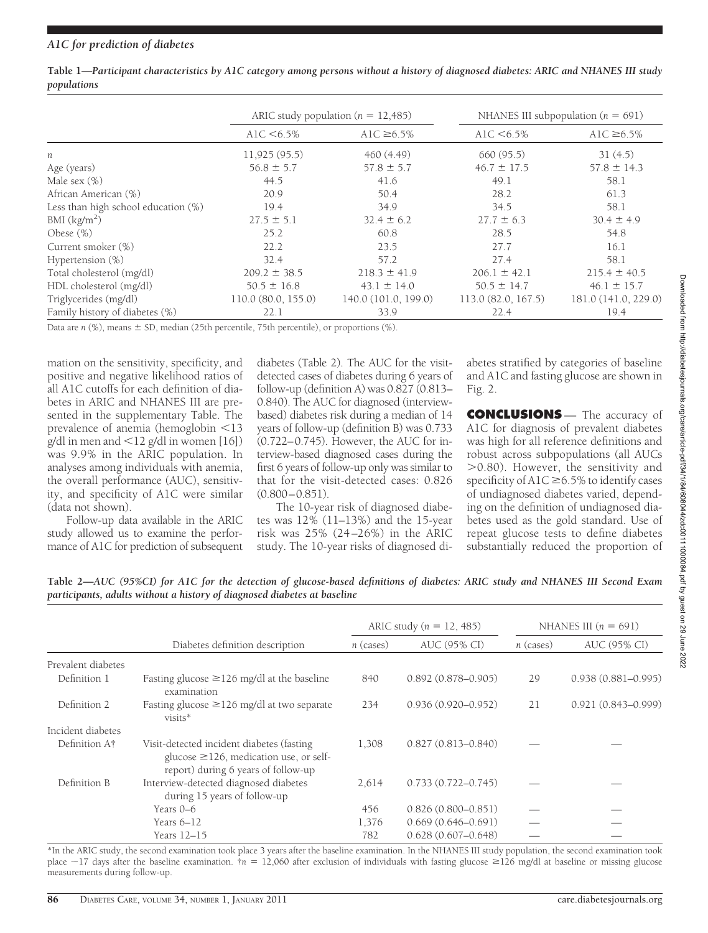|                                     | ARIC study population ( $n = 12,485$ ) |                      | NHANES III subpopulation ( $n = 691$ ) |                      |
|-------------------------------------|----------------------------------------|----------------------|----------------------------------------|----------------------|
|                                     | A1C $< 6.5\%$                          | A1C $\geq 6.5\%$     | A1C $< 6.5\%$                          | A1C $\geq 6.5\%$     |
| n                                   | 11,925(95.5)                           | 460 (4.49)           | 660 (95.5)                             | 31(4.5)              |
| Age (years)                         | $56.8 \pm 5.7$                         | $57.8 \pm 5.7$       | $46.7 \pm 17.5$                        | $57.8 \pm 14.3$      |
| Male sex $(\%)$                     | 44.5                                   | 41.6                 | 49.1                                   | 58.1                 |
| African American (%)                | 20.9                                   | 50.4                 | 28.2                                   | 61.3                 |
| Less than high school education (%) | 19.4                                   | 34.9                 | 34.5                                   | 58.1                 |
| BMI $(kg/m2)$                       | $27.5 \pm 5.1$                         | $32.4 \pm 6.2$       | $27.7 \pm 6.3$                         | $30.4 \pm 4.9$       |
| Obese $(\%)$                        | 25.2                                   | 60.8                 | 28.5                                   | 54.8                 |
| Current smoker (%)                  | 22.2                                   | 23.5                 | 27.7                                   | 16.1                 |
| Hypertension $(\%)$                 | 32.4                                   | 57.2                 | 27.4                                   | 58.1                 |
| Total cholesterol (mg/dl)           | $209.2 \pm 38.5$                       | $218.3 \pm 41.9$     | $206.1 \pm 42.1$                       | $215.4 \pm 40.5$     |
| HDL cholesterol (mg/dl)             | $50.5 \pm 16.8$                        | $43.1 \pm 14.0$      | $50.5 \pm 14.7$                        | $46.1 \pm 15.7$      |
| Triglycerides (mg/dl)               | 110.0(80.0, 155.0)                     | 140.0 (101.0, 199.0) | 113.0(82.0, 167.5)                     | 181.0 (141.0, 229.0) |
| Family history of diabetes (%)      | 22.1                                   | 33.9                 | 22.4                                   | 19.4                 |

**Table 1—***Participant characteristics by A1C category among persons without a history of diagnosed diabetes: ARIC and NHANES III study populations*

Data are *n* (%), means  $\pm$  SD, median (25th percentile, 75th percentile), or proportions (%).

mation on the sensitivity, specificity, and positive and negative likelihood ratios of all A1C cutoffs for each definition of diabetes in ARIC and NHANES III are presented in the supplementary Table. The prevalence of anemia (hemoglobin <13  $g/dl$  in men and  $\langle 12 g/dl$  in women [16]) was 9.9% in the ARIC population. In analyses among individuals with anemia, the overall performance (AUC), sensitivity, and specificity of A1C were similar (data not shown).

Follow-up data available in the ARIC study allowed us to examine the performance of A1C for prediction of subsequent

diabetes (Table 2). The AUC for the visitdetected cases of diabetes during 6 years of follow-up (definition A) was 0.827 (0.813– 0.840). The AUC for diagnosed (interviewbased) diabetes risk during a median of 14 years of follow-up (definition B) was 0.733 (0.722–0.745). However, the AUC for interview-based diagnosed cases during the first 6 years of follow-up only was similar to that for the visit-detected cases: 0.826  $(0.800 - 0.851)$ .

The 10-year risk of diagnosed diabetes was 12% (11–13%) and the 15-year risk was 25% (24–26%) in the ARIC study. The 10-year risks of diagnosed di-

abetes stratified by categories of baseline and A1C and fasting glucose are shown in Fig. 2.

**CONCLUSIONS** — The accuracy of A1C for diagnosis of prevalent diabetes was high for all reference definitions and robust across subpopulations (all AUCs 0.80). However, the sensitivity and specificity of A1C  $\geq$  6.5% to identify cases of undiagnosed diabetes varied, depending on the definition of undiagnosed diabetes used as the gold standard. Use of repeat glucose tests to define diabetes substantially reduced the proportion of

**Table 2—***AUC (95%CI) for A1C for the detection of glucose-based definitions of diabetes: ARIC study and NHANES III Second Exam participants, adults without a history of diagnosed diabetes at baseline*

|                           |                                                                                                                                   | ARIC study ( $n = 12,485$ ) |                        | NHANES III $(n = 691)$ |                        |
|---------------------------|-----------------------------------------------------------------------------------------------------------------------------------|-----------------------------|------------------------|------------------------|------------------------|
|                           | Diabetes definition description                                                                                                   | $n$ (cases)                 | AUC (95% CI)           | $n$ (cases)            | AUC (95% CI)           |
| Prevalent diabetes        |                                                                                                                                   |                             |                        |                        |                        |
| Definition 1              | Fasting glucose $\geq$ 126 mg/dl at the baseline<br>examination                                                                   | 840                         | $0.892(0.878 - 0.905)$ | 29                     | $0.938(0.881 - 0.995)$ |
| Definition 2              | Fasting glucose $\geq$ 126 mg/dl at two separate<br>visits*                                                                       | 234                         | $0.936(0.920 - 0.952)$ | 21                     | $0.921(0.843 - 0.999)$ |
| Incident diabetes         |                                                                                                                                   |                             |                        |                        |                        |
| Definition A <sup>†</sup> | Visit-detected incident diabetes (fasting)<br>glucose $\geq$ 126, medication use, or self-<br>report) during 6 years of follow-up | 1,308                       | $0.827(0.813 - 0.840)$ |                        |                        |
| Definition B              | Interview-detected diagnosed diabetes<br>during 15 years of follow-up                                                             | 2,614                       | $0.733(0.722 - 0.745)$ |                        |                        |
|                           | Years 0–6                                                                                                                         | 456                         | $0.826(0.800 - 0.851)$ |                        |                        |
| Years $6-12$              |                                                                                                                                   | 1,376                       | $0.669(0.646 - 0.691)$ |                        |                        |
| Years 12-15               |                                                                                                                                   | 782                         | $0.628(0.607 - 0.648)$ |                        |                        |

\*In the ARIC study, the second examination took place 3 years after the baseline examination. In the NHANES III study population, the second examination took place ~17 days after the baseline examination. †*n* = 12,060 after exclusion of individuals with fasting glucose ≥126 mg/dl at baseline or missing glucose measurements during follow-up.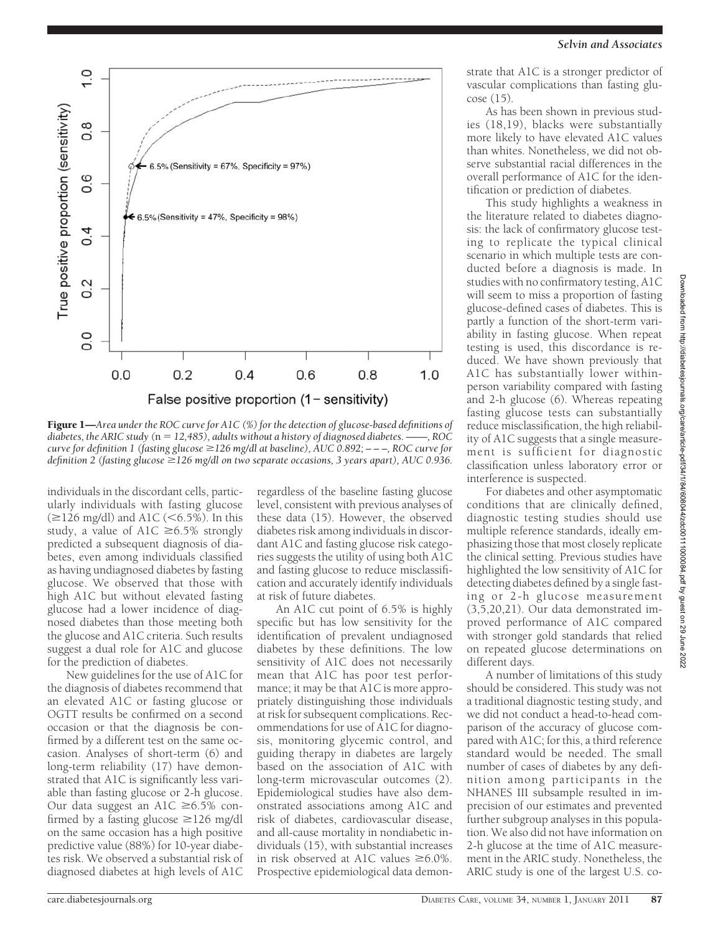

Figure 1—*Area under the ROC curve for A1C (%) for the detection of glucose-based definitions of diabetes, the ARIC study (*n - *12,485), adults without a history of diagnosed diabetes. ——, ROC curve for definition 1 (fasting glucose 126 mg/dl at baseline), AUC 0.892; – – –, ROC curve for definition 2 (fasting glucose 126 mg/dl on two separate occasions, 3 years apart), AUC 0.936.*

individuals in the discordant cells, particularly individuals with fasting glucose  $(\geq 126 \text{ mg/dl})$  and A1C (<6.5%). In this study, a value of A1C  $\geq 6.5\%$  strongly predicted a subsequent diagnosis of diabetes, even among individuals classified as having undiagnosed diabetes by fasting glucose. We observed that those with high A1C but without elevated fasting glucose had a lower incidence of diagnosed diabetes than those meeting both the glucose and A1C criteria. Such results suggest a dual role for A1C and glucose for the prediction of diabetes.

New guidelines for the use of A1C for the diagnosis of diabetes recommend that an elevated A1C or fasting glucose or OGTT results be confirmed on a second occasion or that the diagnosis be confirmed by a different test on the same occasion. Analyses of short-term (6) and long-term reliability (17) have demonstrated that A1C is significantly less variable than fasting glucose or 2-h glucose. Our data suggest an A1C  $\geq 6.5\%$  confirmed by a fasting glucose  $\geq$ 126 mg/dl on the same occasion has a high positive predictive value (88%) for 10-year diabetes risk. We observed a substantial risk of diagnosed diabetes at high levels of A1C

regardless of the baseline fasting glucose level, consistent with previous analyses of these data (15). However, the observed diabetes risk among individuals in discordant A1C and fasting glucose risk categories suggests the utility of using both A1C and fasting glucose to reduce misclassification and accurately identify individuals at risk of future diabetes.

An A1C cut point of 6.5% is highly specific but has low sensitivity for the identification of prevalent undiagnosed diabetes by these definitions. The low sensitivity of A1C does not necessarily mean that A1C has poor test performance; it may be that A1C is more appropriately distinguishing those individuals at risk for subsequent complications. Recommendations for use of A1C for diagnosis, monitoring glycemic control, and guiding therapy in diabetes are largely based on the association of A1C with long-term microvascular outcomes (2). Epidemiological studies have also demonstrated associations among A1C and risk of diabetes, cardiovascular disease, and all-cause mortality in nondiabetic individuals (15), with substantial increases in risk observed at A1C values  $\geq 6.0\%$ . Prospective epidemiological data demonstrate that A1C is a stronger predictor of vascular complications than fasting glucose (15).

As has been shown in previous studies (18,19), blacks were substantially more likely to have elevated A1C values than whites. Nonetheless, we did not observe substantial racial differences in the overall performance of A1C for the identification or prediction of diabetes.

This study highlights a weakness in the literature related to diabetes diagnosis: the lack of confirmatory glucose testing to replicate the typical clinical scenario in which multiple tests are conducted before a diagnosis is made. In studies with no confirmatory testing, A1C will seem to miss a proportion of fasting glucose-defined cases of diabetes. This is partly a function of the short-term variability in fasting glucose. When repeat testing is used, this discordance is reduced. We have shown previously that A1C has substantially lower withinperson variability compared with fasting and 2-h glucose (6). Whereas repeating fasting glucose tests can substantially reduce misclassification, the high reliability of A1C suggests that a single measurement is sufficient for diagnostic classification unless laboratory error or interference is suspected.

For diabetes and other asymptomatic conditions that are clinically defined, diagnostic testing studies should use multiple reference standards, ideally emphasizing those that most closely replicate the clinical setting. Previous studies have highlighted the low sensitivity of A1C for detecting diabetes defined by a single fasting or 2-h glucose measurement (3,5,20,21). Our data demonstrated improved performance of A1C compared with stronger gold standards that relied on repeated glucose determinations on different days.

A number of limitations of this study should be considered. This study was not a traditional diagnostic testing study, and we did not conduct a head-to-head comparison of the accuracy of glucose compared with A1C; for this, a third reference standard would be needed. The small number of cases of diabetes by any definition among participants in the NHANES III subsample resulted in imprecision of our estimates and prevented further subgroup analyses in this population. We also did not have information on 2-h glucose at the time of A1C measurement in the ARIC study. Nonetheless, the ARIC study is one of the largest U.S. co-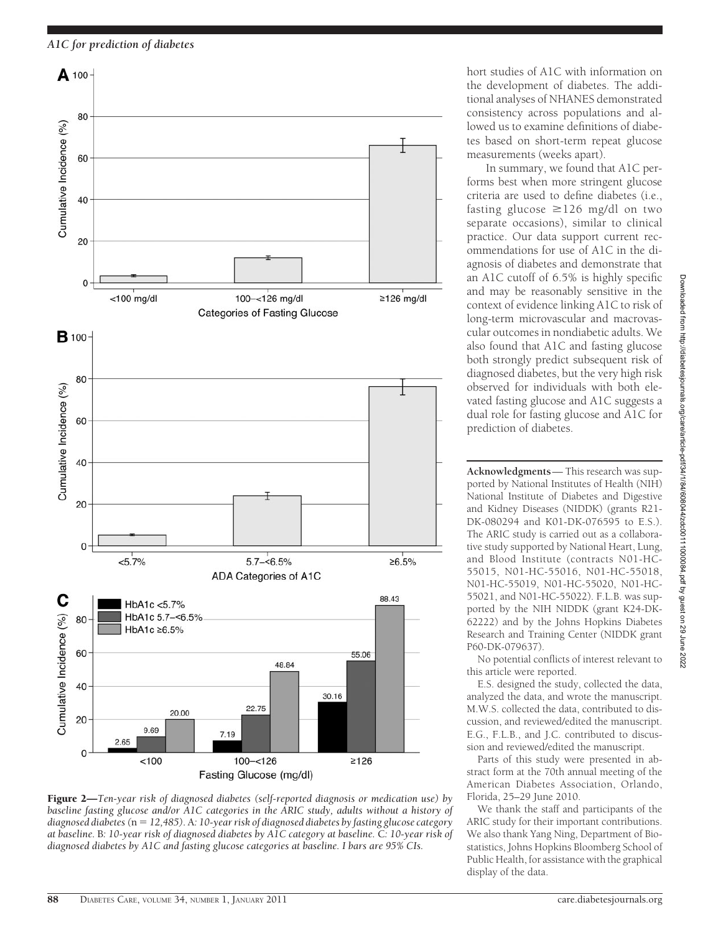*A1C for prediction of diabetes*



Figure 2—*Ten-year risk of diagnosed diabetes (self-reported diagnosis or medication use) by baseline fasting glucose and/or A1C categories in the ARIC study, adults without a history of diagnosed diabetes (*n - *12,485).*A*: 10-year risk of diagnosed diabetes by fasting glucose category at baseline.* B*: 10-year risk of diagnosed diabetes by A1C category at baseline.* C*: 10-year risk of diagnosed diabetes by A1C and fasting glucose categories at baseline. I bars are 95% CIs.*

hort studies of A1C with information on the development of diabetes. The additional analyses of NHANES demonstrated consistency across populations and allowed us to examine definitions of diabetes based on short-term repeat glucose measurements (weeks apart).

In summary, we found that A1C performs best when more stringent glucose criteria are used to define diabetes (i.e., fasting glucose  $\geq$ 126 mg/dl on two separate occasions), similar to clinical practice. Our data support current recommendations for use of A1C in the diagnosis of diabetes and demonstrate that an A1C cutoff of 6.5% is highly specific and may be reasonably sensitive in the context of evidence linking A1C to risk of long-term microvascular and macrovascular outcomes in nondiabetic adults. We also found that A1C and fasting glucose both strongly predict subsequent risk of diagnosed diabetes, but the very high risk observed for individuals with both elevated fasting glucose and A1C suggests a dual role for fasting glucose and A1C for prediction of diabetes.

**Acknowledgments**— This research was supported by National Institutes of Health (NIH) National Institute of Diabetes and Digestive and Kidney Diseases (NIDDK) (grants R21- DK-080294 and K01-DK-076595 to E.S.). The ARIC study is carried out as a collaborative study supported by National Heart, Lung, and Blood Institute (contracts N01-HC-55015, N01-HC-55016, N01-HC-55018, N01-HC-55019, N01-HC-55020, N01-HC-55021, and N01-HC-55022). F.L.B. was supported by the NIH NIDDK (grant K24-DK-62222) and by the Johns Hopkins Diabetes Research and Training Center (NIDDK grant P60-DK-079637).

No potential conflicts of interest relevant to this article were reported.

E.S. designed the study, collected the data, analyzed the data, and wrote the manuscript. M.W.S. collected the data, contributed to discussion, and reviewed/edited the manuscript. E.G., F.L.B., and J.C. contributed to discussion and reviewed/edited the manuscript.

Parts of this study were presented in abstract form at the 70th annual meeting of the American Diabetes Association, Orlando, Florida, 25–29 June 2010.

We thank the staff and participants of the ARIC study for their important contributions. We also thank Yang Ning, Department of Biostatistics, Johns Hopkins Bloomberg School of Public Health, for assistance with the graphical display of the data.